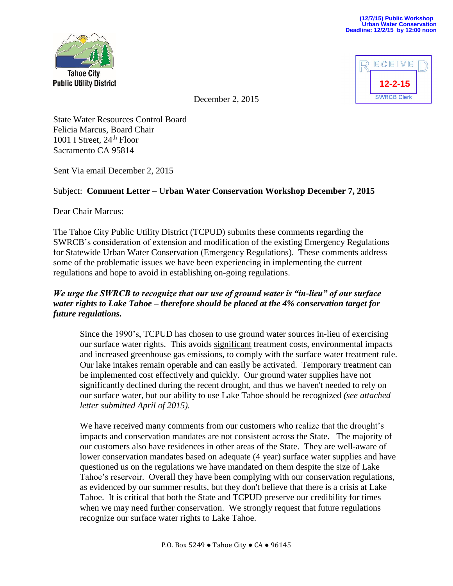



December 2, 2015

State Water Resources Control Board Felicia Marcus, Board Chair 1001 I Street,  $24<sup>th</sup>$  Floor Sacramento CA 95814

Sent Via email December 2, 2015

## Subject: **Comment Letter – Urban Water Conservation Workshop December 7, 2015**

Dear Chair Marcus:

The Tahoe City Public Utility District (TCPUD) submits these comments regarding the SWRCB's consideration of extension and modification of the existing Emergency Regulations for Statewide Urban Water Conservation (Emergency Regulations). These comments address some of the problematic issues we have been experiencing in implementing the current regulations and hope to avoid in establishing on-going regulations.

## *We urge the SWRCB to recognize that our use of ground water is "in-lieu" of our surface water rights to Lake Tahoe – therefore should be placed at the 4% conservation target for future regulations.*

Since the 1990's, TCPUD has chosen to use ground water sources in-lieu of exercising our surface water rights. This avoids significant treatment costs, environmental impacts and increased greenhouse gas emissions, to comply with the surface water treatment rule. Our lake intakes remain operable and can easily be activated. Temporary treatment can be implemented cost effectively and quickly. Our ground water supplies have not significantly declined during the recent drought, and thus we haven't needed to rely on our surface water, but our ability to use Lake Tahoe should be recognized *(see attached letter submitted April of 2015).*

We have received many comments from our customers who realize that the drought's impacts and conservation mandates are not consistent across the State. The majority of our customers also have residences in other areas of the State. They are well-aware of lower conservation mandates based on adequate (4 year) surface water supplies and have questioned us on the regulations we have mandated on them despite the size of Lake Tahoe's reservoir. Overall they have been complying with our conservation regulations, as evidenced by our summer results, but they don't believe that there is a crisis at Lake Tahoe. It is critical that both the State and TCPUD preserve our credibility for times when we may need further conservation. We strongly request that future regulations recognize our surface water rights to Lake Tahoe.